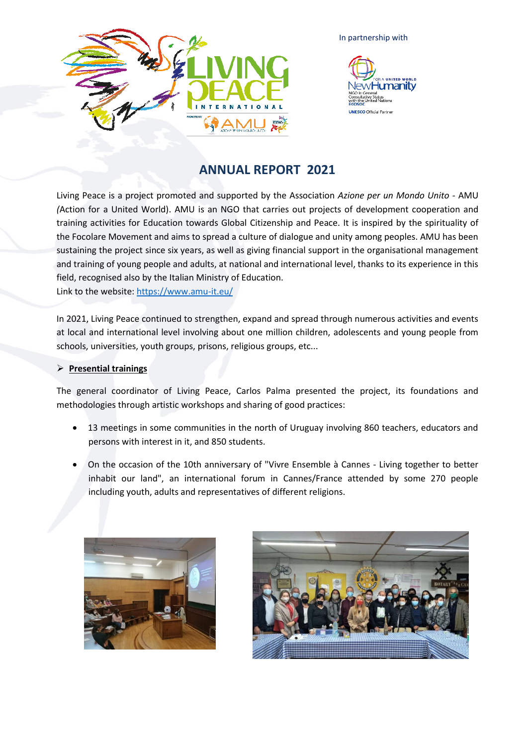

In partnership with



# **ANNUAL REPORT 2021**

Living Peace is a project promoted and supported by the Association *Azione per un Mondo Unito* - AMU *(*Action for a United World). AMU is an NGO that carries out projects of development cooperation and training activities for Education towards Global Citizenship and Peace. It is inspired by the spirituality of the Focolare Movement and aims to spread a culture of dialogue and unity among peoples. AMU has been sustaining the project since six years, as well as giving financial support in the organisational management and training of young people and adults, at national and international level, thanks to its experience in this field, recognised also by the Italian Ministry of Education. Link to the website:<https://www.amu-it.eu/>

In 2021, Living Peace continued to strengthen, expand and spread through numerous activities and events at local and international level involving about one million children, adolescents and young people from schools, universities, youth groups, prisons, religious groups, etc...

# ➢ **Presential trainings**

The general coordinator of Living Peace, Carlos Palma presented the project, its foundations and methodologies through artistic workshops and sharing of good practices:

- 13 meetings in some communities in the north of Uruguay involving 860 teachers, educators and persons with interest in it, and 850 students.
- On the occasion of the 10th anniversary of "Vivre Ensemble à Cannes Living together to better inhabit our land", an international forum in Cannes/France attended by some 270 people including youth, adults and representatives of different religions.



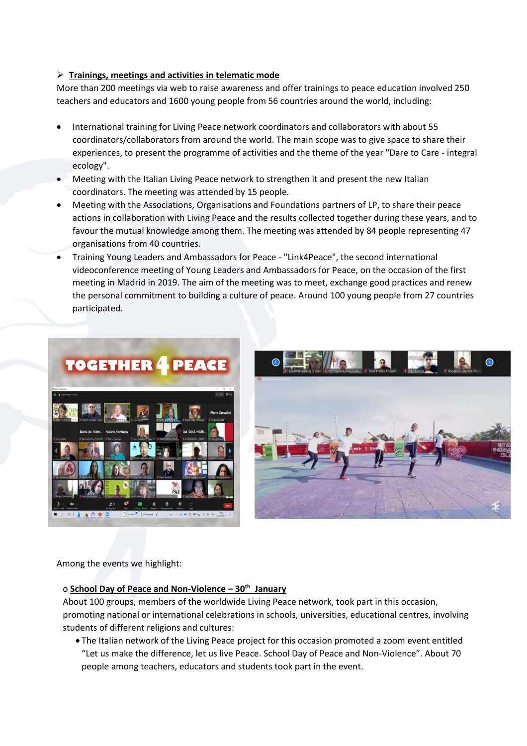# ➢ **Trainings, meetings and activities in telematic mode**

More than 200 meetings via web to raise awareness and offer trainings to peace education involved 250 teachers and educators and 1600 young people from 56 countries around the world, including:

- International training for Living Peace network coordinators and collaborators with about 55 coordinators/collaborators from around the world. The main scope was to give space to share their experiences, to present the programme of activities and the theme of the year "Dare to Care - integral ecology".
- Meeting with the Italian Living Peace network to strengthen it and present the new Italian coordinators. The meeting was attended by 15 people.
- Meeting with the Associations, Organisations and Foundations partners of LP, to share their peace actions in collaboration with Living Peace and the results collected together during these years, and to favour the mutual knowledge among them. The meeting was attended by 84 people representing 47 organisations from 40 countries.
- Training Young Leaders and Ambassadors for Peace "Link4Peace", the second international videoconference meeting of Young Leaders and Ambassadors for Peace, on the occasion of the first meeting in Madrid in 2019. The aim of the meeting was to meet, exchange good practices and renew the personal commitment to building a culture of peace. Around 100 young people from 27 countries participated.





Among the events we highlight:

# o **School Day of Peace and Non-Violence – 30th January**

About 100 groups, members of the worldwide Living Peace network, took part in this occasion, promoting national or international celebrations in schools, universities, educational centres, involving students of different religions and cultures:

• The Italian network of the Living Peace project for this occasion promoted a zoom event entitled "Let us make the difference, let us live Peace. School Day of Peace and Non-Violence". About 70 people among teachers, educators and students took part in the event.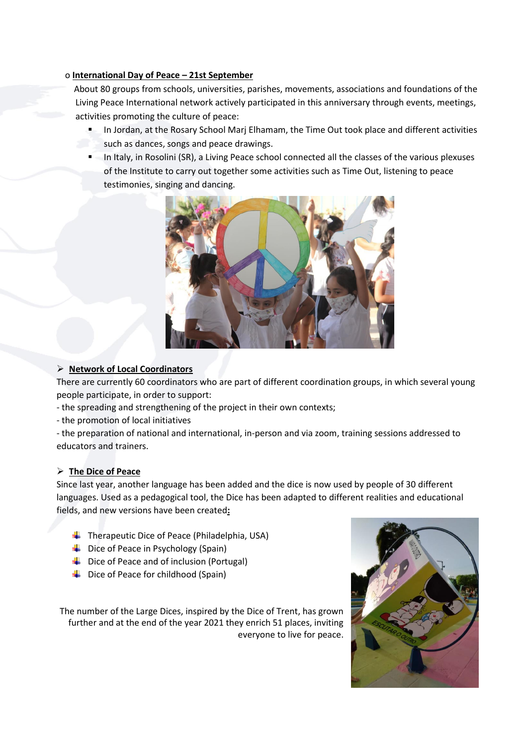# o **International Day of Peace – 21st September**

 About 80 groups from schools, universities, parishes, movements, associations and foundations of the Living Peace International network actively participated in this anniversary through events, meetings, activities promoting the culture of peace:

- In Jordan, at the Rosary School Marj Elhamam, the Time Out took place and different activities such as dances, songs and peace drawings.
- In Italy, in Rosolini (SR), a Living Peace school connected all the classes of the various plexuses of the Institute to carry out together some activities such as Time Out, listening to peace testimonies, singing and dancing.



# ➢ **Network of Local Coordinators**

There are currently 60 coordinators who are part of different coordination groups, in which several young people participate, in order to support:

- the spreading and strengthening of the project in their own contexts;
- the promotion of local initiatives

- the preparation of national and international, in-person and via zoom, training sessions addressed to educators and trainers.

### ➢ **The Dice of Peace**

Since last year, another language has been added and the dice is now used by people of 30 different languages. Used as a pedagogical tool, the Dice has been adapted to different realities and educational fields, and new versions have been created**:**

- $\blacksquare$  Therapeutic Dice of Peace (Philadelphia, USA)
- $\downarrow$  Dice of Peace in Psychology (Spain)
- $\downarrow$  Dice of Peace and of inclusion (Portugal)
- $\downarrow$  Dice of Peace for childhood (Spain)

The number of the Large Dices, inspired by the Dice of Trent, has grown further and at the end of the year 2021 they enrich 51 places, inviting everyone to live for peace.

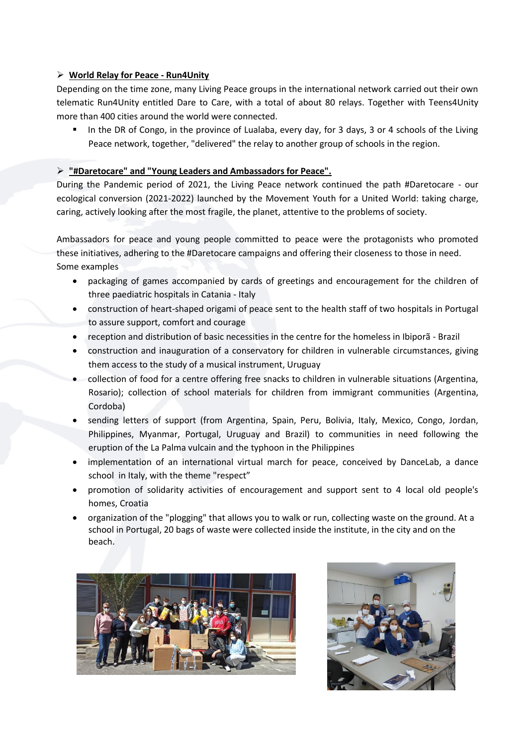# ➢ **World Relay for Peace - Run4Unity**

Depending on the time zone, many Living Peace groups in the international network carried out their own telematic Run4Unity entitled Dare to Care, with a total of about 80 relays. Together with Teens4Unity more than 400 cities around the world were connected.

In the DR of Congo, in the province of Lualaba, every day, for 3 days, 3 or 4 schools of the Living Peace network, together, "delivered" the relay to another group of schools in the region.

# ➢ **"#Daretocare" and "Young Leaders and Ambassadors for Peace".**

During the Pandemic period of 2021, the Living Peace network continued the path #Daretocare - our ecological conversion (2021-2022) launched by the Movement Youth for a United World: taking charge, caring, actively looking after the most fragile, the planet, attentive to the problems of society.

Ambassadors for peace and young people committed to peace were the protagonists who promoted these initiatives, adhering to the #Daretocare campaigns and offering their closeness to those in need. Some examples

- packaging of games accompanied by cards of greetings and encouragement for the children of three paediatric hospitals in Catania - Italy
- construction of heart-shaped origami of peace sent to the health staff of two hospitals in Portugal to assure support, comfort and courage
- reception and distribution of basic necessities in the centre for the homeless in Ibiporã Brazil
- construction and inauguration of a conservatory for children in vulnerable circumstances, giving them access to the study of a musical instrument, Uruguay
- collection of food for a centre offering free snacks to children in vulnerable situations (Argentina, Rosario); collection of school materials for children from immigrant communities (Argentina, Cordoba)
- sending letters of support (from Argentina, Spain, Peru, Bolivia, Italy, Mexico, Congo, Jordan, Philippines, Myanmar, Portugal, Uruguay and Brazil) to communities in need following the eruption of the La Palma vulcain and the typhoon in the Philippines
- implementation of an international virtual march for peace, conceived by DanceLab, a dance school in Italy, with the theme "respect"
- promotion of solidarity activities of encouragement and support sent to 4 local old people's homes, Croatia
- organization of the "plogging" that allows you to walk or run, collecting waste on the ground. At a school in Portugal, 20 bags of waste were collected inside the institute, in the city and on the beach.



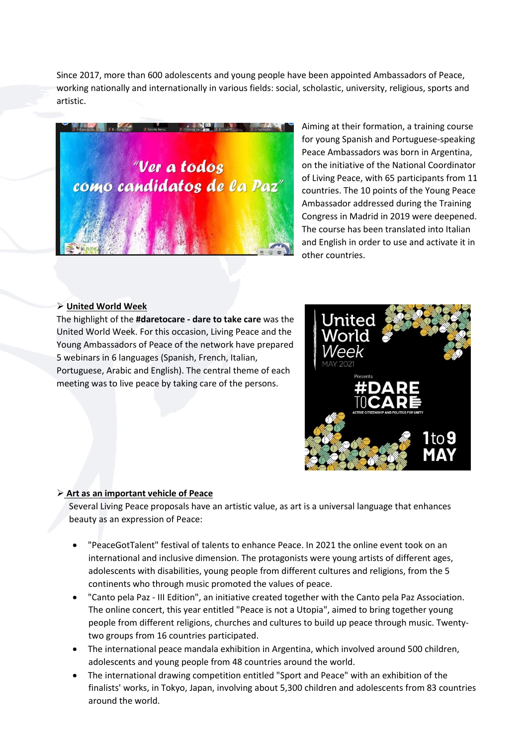Since 2017, more than 600 adolescents and young people have been appointed Ambassadors of Peace, working nationally and internationally in various fields: social, scholastic, university, religious, sports and artistic.



Aiming at their formation, a training course for young Spanish and Portuguese-speaking Peace Ambassadors was born in Argentina, on the initiative of the National Coordinator of Living Peace, with 65 participants from 11 countries. The 10 points of the Young Peace Ambassador addressed during the Training Congress in Madrid in 2019 were deepened. The course has been translated into Italian and English in order to use and activate it in other countries.

#### ➢ **United World Week**

The highlight of the **#daretocare - dare to take care** was the United World Week. For this occasion, Living Peace and the Young Ambassadors of Peace of the network have prepared 5 webinars in 6 languages (Spanish, French, Italian, Portuguese, Arabic and English). The central theme of each meeting was to live peace by taking care of the persons.



#### ➢ **Art as an important vehicle of Peace**

Several Living Peace proposals have an artistic value, as art is a universal language that enhances beauty as an expression of Peace:

- "PeaceGotTalent" festival of talents to enhance Peace. In 2021 the online event took on an international and inclusive dimension. The protagonists were young artists of different ages, adolescents with disabilities, young people from different cultures and religions, from the 5 continents who through music promoted the values of peace.
- "Canto pela Paz III Edition", an initiative created together with the Canto pela Paz Association. The online concert, this year entitled "Peace is not a Utopia", aimed to bring together young people from different religions, churches and cultures to build up peace through music. Twentytwo groups from 16 countries participated.
- The international peace mandala exhibition in Argentina, which involved around 500 children, adolescents and young people from 48 countries around the world.
- The international drawing competition entitled "Sport and Peace" with an exhibition of the finalists' works, in Tokyo, Japan, involving about 5,300 children and adolescents from 83 countries around the world.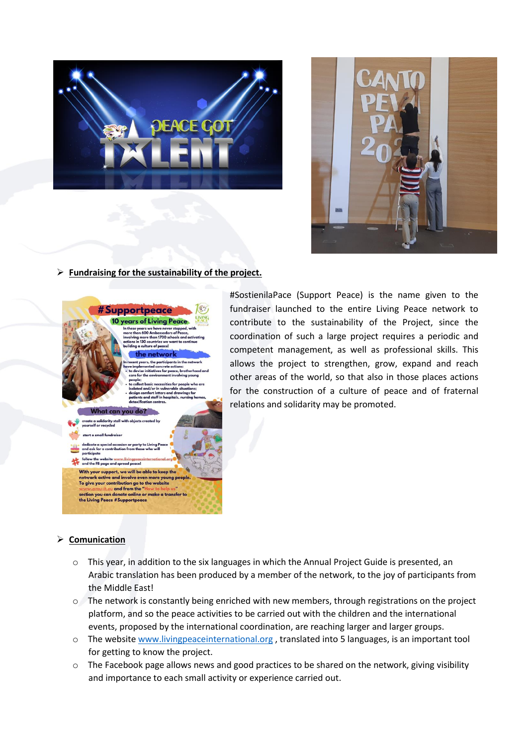



# ➢ **Fundraising for the sustainability of the project.**



#SostienilaPace (Support Peace) is the name given to the fundraiser launched to the entire Living Peace network to contribute to the sustainability of the Project, since the coordination of such a large project requires a periodic and competent management, as well as professional skills. This allows the project to strengthen, grow, expand and reach other areas of the world, so that also in those places actions for the construction of a culture of peace and of fraternal relations and solidarity may be promoted.

### ➢ **Comunication**

- o This year, in addition to the six languages in which the Annual Project Guide is presented, an Arabic translation has been produced by a member of the network, to the joy of participants from the Middle East!
- o The network is constantly being enriched with new members, through registrations on the project platform, and so the peace activities to be carried out with the children and the international events, proposed by the international coordination, are reaching larger and larger groups.
- o The website [www.livingpeaceinternational.org](http://www.livingpeaceinternational.org/) , translated into 5 languages, is an important tool for getting to know the project.
- o The Facebook page allows news and good practices to be shared on the network, giving visibility and importance to each small activity or experience carried out.